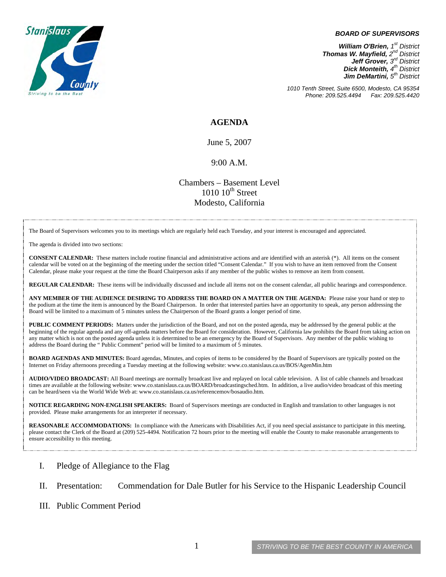

#### *BOARD OF SUPERVISORS*

*William O'Brien, 1st District Thomas W. Mayfield, 2nd District Jeff Grover, 3rd District Dick Monteith, 4th District Jim DeMartini*,  $5<sup>th</sup>$  District

*1010 Tenth Street, Suite 6500, Modesto, CA 95354 Phone: 209.525.4494 Fax: 209.525.4420* 

### **AGENDA**

June 5, 2007

#### 9:00 A.M.

Chambers – Basement Level  $1010~10<sup>th</sup>$  Street Modesto, California

The Board of Supervisors welcomes you to its meetings which are regularly held each Tuesday, and your interest is encouraged and appreciated.

The agenda is divided into two sections:

**CONSENT CALENDAR:** These matters include routine financial and administrative actions and are identified with an asterisk (\*). All items on the consent calendar will be voted on at the beginning of the meeting under the section titled "Consent Calendar." If you wish to have an item removed from the Consent Calendar, please make your request at the time the Board Chairperson asks if any member of the public wishes to remove an item from consent.

**REGULAR CALENDAR:** These items will be individually discussed and include all items not on the consent calendar, all public hearings and correspondence.

**ANY MEMBER OF THE AUDIENCE DESIRING TO ADDRESS THE BOARD ON A MATTER ON THE AGENDA:** Please raise your hand or step to the podium at the time the item is announced by the Board Chairperson. In order that interested parties have an opportunity to speak, any person addressing the Board will be limited to a maximum of 5 minutes unless the Chairperson of the Board grants a longer period of time.

**PUBLIC COMMENT PERIODS:** Matters under the jurisdiction of the Board, and not on the posted agenda, may be addressed by the general public at the beginning of the regular agenda and any off-agenda matters before the Board for consideration. However, California law prohibits the Board from taking action on any matter which is not on the posted agenda unless it is determined to be an emergency by the Board of Supervisors. Any member of the public wishing to address the Board during the " Public Comment" period will be limited to a maximum of 5 minutes.

**BOARD AGENDAS AND MINUTES:** Board agendas, Minutes, and copies of items to be considered by the Board of Supervisors are typically posted on the Internet on Friday afternoons preceding a Tuesday meeting at the following website: [www.co.stanislaus.ca.us/BOS/AgenMin.htm](http://www.co.stanislaus.ca.us/BOS/AgenMin.htm) 

**AUDIO/VIDEO BROADCAST:** All Board meetings are normally broadcast live and replayed on local cable television. A list of cable channels and broadcast times are available at the following website: [www.co.stanislaus.ca.us/BOARD/broadcastingsched.htm](http://www.co.stanislaus.ca.us/BOARD/broadcastingsched.htm). In addition, a live audio/video broadcast of this meeting can be heard/seen via the World Wide Web at: [www.co.stanislaus.ca.us/referencemov/bosaudio.htm.](http://www.co.stanislaus.ca.us/referencemov/bosaudio.htm)

**NOTICE REGARDING NON-ENGLISH SPEAKERS:** Board of Supervisors meetings are conducted in English and translation to other languages is not provided. Please make arrangements for an interpreter if necessary.

**REASONABLE ACCOMMODATIONS:** In compliance with the Americans with Disabilities Act, if you need special assistance to participate in this meeting, please contact the Clerk of the Board at (209) 525-4494. Notification 72 hours prior to the meeting will enable the County to make reasonable arrangements to ensure accessibility to this meeting.

- I. Pledge of Allegiance to the Flag
- II. Presentation: Commendation for Dale Butler for his Service to the Hispanic Leadership Council
- III. Public Comment Period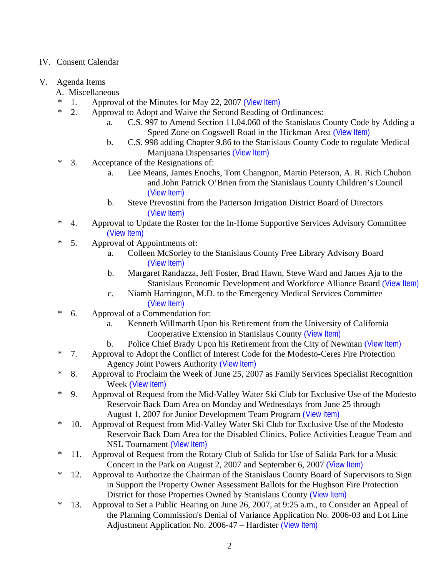## IV. Consent Calendar

## V. Agenda Items

- A. Miscellaneous
- \* 1. Approval of the Minutes for May 22, 2007 ([View Item\)](http://www.co.stanislaus.ca.us/bos/minutes/2007/min05-22-07.pdf)
- \* 2. Approval to Adopt and Waive the Second Reading of Ordinances:
	- a. C.S. 997 to Amend Section 11.04.060 of the Stanislaus County Code by Adding a Speed Zone on Cogswell Road in the Hickman Area ([View Item\)](http://www.co.stanislaus.ca.us/bos/agenda/2007/20070605/A02a.pdf)
	- b. C.S. 998 adding Chapter 9.86 to the Stanislaus County Code to regulate Medical Marijuana Dispensaries ([View Item\)](http://www.co.stanislaus.ca.us/bos/agenda/2007/20070605/A02b.pdf)
- \* 3. Acceptance of the Resignations of:
	- a. Lee Means, James Enochs, Tom Changnon, Martin Peterson, A. R. Rich Chubon and John Patrick O'Brien from the Stanislaus County Children's Council ([View Item\)](http://www.co.stanislaus.ca.us/bos/agenda/2007/20070605/A03a.pdf)
	- b. Steve Prevostini from the Patterson Irrigation District Board of Directors ([View Item\)](http://www.co.stanislaus.ca.us/bos/agenda/2007/20070605/A03b.pdf)
- \* 4. Approval to Update the Roster for the In-Home Supportive Services Advisory Committee ([View Item\)](http://www.co.stanislaus.ca.us/bos/agenda/2007/20070605/A04.pdf)
- \* 5. Approval of Appointments of:
	- a. Colleen McSorley to the Stanislaus County Free Library Advisory Board ([View Item\)](http://www.co.stanislaus.ca.us/bos/agenda/2007/20070605/A05a.pdf)
	- b. Margaret Randazza, Jeff Foster, Brad Hawn, Steve Ward and James Aja to the Stanislaus Economic Development and Workforce Alliance Board ([View Item\)](http://www.co.stanislaus.ca.us/bos/agenda/2007/20070605/A05b.pdf)
	- c. Niamh Harrington, M.D. to the Emergency Medical Services Committee ([View Item\)](http://www.co.stanislaus.ca.us/bos/agenda/2007/20070605/A05c.pdf)
- \* 6. Approval of a Commendation for:
	- a. Kenneth Willmarth Upon his Retirement from the University of California Cooperative Extension in Stanislaus County ([View Item\)](http://www.co.stanislaus.ca.us/bos/agenda/2007/20070605/A06a.pdf)
	- b. Police Chief Brady Upon his Retirement from the City of Newman ([View Item\)](http://www.co.stanislaus.ca.us/bos/agenda/2007/20070605/A06b.pdf)
- \* 7. Approval to Adopt the Conflict of Interest Code for the Modesto-Ceres Fire Protection Agency Joint Powers Authority ([View Item\)](http://www.co.stanislaus.ca.us/bos/agenda/2007/20070605/A07.pdf)
- \* 8. Approval to Proclaim the Week of June 25, 2007 as Family Services Specialist Recognition Week ([View Item\)](http://www.co.stanislaus.ca.us/bos/agenda/2007/20070605/A08.pdf)
- \* 9. Approval of Request from the Mid-Valley Water Ski Club for Exclusive Use of the Modesto Reservoir Back Dam Area on Monday and Wednesdays from June 25 through August 1, 2007 for Junior Development Team Program ([View Item\)](http://www.co.stanislaus.ca.us/bos/agenda/2007/20070605/A09.pdf)
- \* 10. Approval of Request from Mid-Valley Water Ski Club for Exclusive Use of the Modesto Reservoir Back Dam Area for the Disabled Clinics, Police Activities League Team and NSL Tournament ([View Item\)](http://www.co.stanislaus.ca.us/bos/agenda/2007/20070605/A10.pdf)
- \* 11. Approval of Request from the Rotary Club of Salida for Use of Salida Park for a Music Concert in the Park on August 2, 2007 and September 6, 2007 ([View Item\)](http://www.co.stanislaus.ca.us/bos/agenda/2007/20070605/A11.pdf)
- \* 12. Approval to Authorize the Chairman of the Stanislaus County Board of Supervisors to Sign in Support the Property Owner Assessment Ballots for the Hughson Fire Protection District for those Properties Owned by Stanislaus County ([View Item\)](http://www.co.stanislaus.ca.us/bos/agenda/2007/20070605/A12.pdf)
- \* 13. Approval to Set a Public Hearing on June 26, 2007, at 9:25 a.m., to Consider an Appeal of the Planning Commission's Denial of Variance Application No. 2006-03 and Lot Line Adjustment Application No. 2006-47 – Hardister ([View Item\)](http://www.co.stanislaus.ca.us/bos/agenda/2007/20070605/A13.pdf)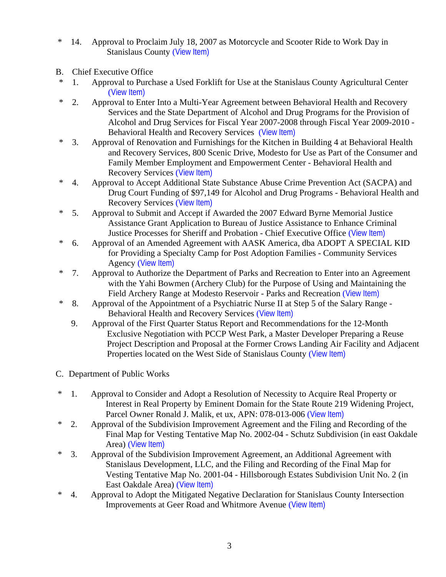- \* 14. Approval to Proclaim July 18, 2007 as Motorcycle and Scooter Ride to Work Day in Stanislaus County (View Item)
- B. Chief Executive Office
- \* 1. Approval to Purchase a Used Forklift for Use at the Stanislaus County Agricultural Center ([View Item\)](http://www.co.stanislaus.ca.us/bos/agenda/2007/20070605/B01.pdf)
- \* 2. Approval to Enter Into a Multi-Year Agreement between Behavioral Health and Recovery Services and the State Department of Alcohol and Drug Programs for the Provision of Alcohol and Drug Services for Fiscal Year 2007-2008 through Fiscal Year 2009-2010 - Behavioral Health and Recovery Services ([View Item\)](http://www.co.stanislaus.ca.us/bos/agenda/2007/20070605/B02.pdf)
- \* 3. Approval of Renovation and Furnishings for the Kitchen in Building 4 at Behavioral Health and Recovery Services, 800 Scenic Drive, Modesto for Use as Part of the Consumer and Family Member Employment and Empowerment Center - Behavioral Health and Recovery Services ([View Item\)](http://www.co.stanislaus.ca.us/bos/agenda/2007/20070605/B03.pdf)
- \* 4. Approval to Accept Additional State Substance Abuse Crime Prevention Act (SACPA) and Drug Court Funding of \$97,149 for Alcohol and Drug Programs - Behavioral Health and Recovery Services ([View Item\)](http://www.co.stanislaus.ca.us/bos/agenda/2007/20070605/B04.pdf)
- \* 5. Approval to Submit and Accept if Awarded the 2007 Edward Byrne Memorial Justice Assistance Grant Application to Bureau of Justice Assistance to Enhance Criminal Justice Processes for Sheriff and Probation - Chief Executive Office ([View Item\)](http://www.co.stanislaus.ca.us/bos/agenda/2007/20070605/B05.pdf)
- \* 6. Approval of an Amended Agreement with AASK America, dba ADOPT A SPECIAL KID for Providing a Specialty Camp for Post Adoption Families - Community Services Agency ([View Item\)](http://www.co.stanislaus.ca.us/bos/agenda/2007/20070605/B06.pdf)
- \* 7. Approval to Authorize the Department of Parks and Recreation to Enter into an Agreement with the Yahi Bowmen (Archery Club) for the Purpose of Using and Maintaining the Field Archery Range at Modesto Reservoir - Parks and Recreation ([View Item\)](http://www.co.stanislaus.ca.us/bos/agenda/2007/20070605/B07.pdf)
- \* 8. Approval of the Appointment of a Psychiatric Nurse II at Step 5 of the Salary Range Behavioral Health and Recovery Services ([View Item\)](http://www.co.stanislaus.ca.us/bos/agenda/2007/20070605/B08.pdf)
	- 9. Approval of the First Quarter Status Report and Recommendations for the 12-Month Exclusive Negotiation with PCCP West Park, a Master Developer Preparing a Reuse Project Description and Proposal at the Former Crows Landing Air Facility and Adjacent Properties located on the West Side of Stanislaus County ([View Item\)](http://www.co.stanislaus.ca.us/bos/agenda/2007/20070605/B09.pdf)
- C. Department of Public Works
- \* 1. Approval to Consider and Adopt a Resolution of Necessity to Acquire Real Property or Interest in Real Property by Eminent Domain for the State Route 219 Widening Project, Parcel Owner Ronald J. Malik, et ux, APN: 078-013-006 ([View Item\)](http://www.co.stanislaus.ca.us/bos/agenda/2007/20070605/C01.pdf)
- \* 2. Approval of the Subdivision Improvement Agreement and the Filing and Recording of the Final Map for Vesting Tentative Map No. 2002-04 - Schutz Subdivision (in east Oakdale Area) ([View Item\)](http://www.co.stanislaus.ca.us/bos/agenda/2007/20070605/C02.pdf)
- \* 3. Approval of the Subdivision Improvement Agreement, an Additional Agreement with Stanislaus Development, LLC, and the Filing and Recording of the Final Map for Vesting Tentative Map No. 2001-04 - Hillsborough Estates Subdivision Unit No. 2 (in East Oakdale Area) ([View Item\)](http://www.co.stanislaus.ca.us/bos/agenda/2007/20070605/C03.pdf)
- \* 4. Approval to Adopt the Mitigated Negative Declaration for Stanislaus County Intersection Improvements at Geer Road and Whitmore Avenue ([View Item\)](http://www.co.stanislaus.ca.us/bos/agenda/2007/20070605/C04.pdf)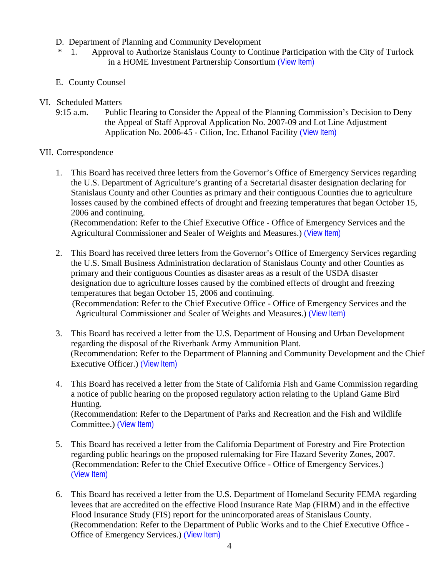- D. Department of Planning and Community Development
- \* 1. Approval to Authorize Stanislaus County to Continue Participation with the City of Turlock in a HOME Investment Partnership Consortium ([View Item\)](http://www.co.stanislaus.ca.us/bos/agenda/2007/20070605/D01.pdf)
- E. County Counsel
- VI. Scheduled Matters
	- 9:15 a.m. Public Hearing to Consider the Appeal of the Planning Commission's Decision to Deny the Appeal of Staff Approval Application No. 2007-09 and Lot Line Adjustment Application No. 2006-45 - Cilion, Inc. Ethanol Facility ([View Item\)](http://www.co.stanislaus.ca.us/bos/agenda/2007/20070605/PH915.pdf)

# VII. Correspondence

- 1. This Board has received three letters from the Governor's Office of Emergency Services regarding the U.S. Department of Agriculture's granting of a Secretarial disaster designation declaring for Stanislaus County and other Counties as primary and their contiguous Counties due to agriculture losses caused by the combined effects of drought and freezing temperatures that began October 15, 2006 and continuing. (Recommendation: Refer to the Chief Executive Office - Office of Emergency Services and the Agricultural Commissioner and Sealer of Weights and Measures.) ([View Item\)](http://www.co.stanislaus.ca.us/bos/agenda/2007/20070605/Corr01.pdf)
- 2. This Board has received three letters from the Governor's Office of Emergency Services regarding the U.S. Small Business Administration declaration of Stanislaus County and other Counties as primary and their contiguous Counties as disaster areas as a result of the USDA disaster designation due to agriculture losses caused by the combined effects of drought and freezing temperatures that began October 15, 2006 and continuing. (Recommendation: Refer to the Chief Executive Office - Office of Emergency Services and the Agricultural Commissioner and Sealer of Weights and Measures.) ([View Item\)](http://www.co.stanislaus.ca.us/bos/agenda/2007/20070605/Corr02.pdf)
- 3. This Board has received a letter from the U.S. Department of Housing and Urban Development regarding the disposal of the Riverbank Army Ammunition Plant. (Recommendation: Refer to the Department of Planning and Community Development and the Chief Executive Officer.) ([View Item\)](http://www.co.stanislaus.ca.us/bos/agenda/2007/20070605/Corr03.pdf)
- 4. This Board has received a letter from the State of California Fish and Game Commission regarding a notice of public hearing on the proposed regulatory action relating to the Upland Game Bird Hunting. (Recommendation: Refer to the Department of Parks and Recreation and the Fish and Wildlife Committee.) ([View Item\)](http://www.co.stanislaus.ca.us/bos/agenda/2007/20070605/Corr04.pdf)
- 5. This Board has received a letter from the California Department of Forestry and Fire Protection regarding public hearings on the proposed rulemaking for Fire Hazard Severity Zones, 2007. (Recommendation: Refer to the Chief Executive Office - Office of Emergency Services.) ([View Item\)](http://www.co.stanislaus.ca.us/bos/agenda/2007/20070605/Corr05.pdf)
- 6. This Board has received a letter from the U.S. Department of Homeland Security FEMA regarding levees that are accredited on the effective Flood Insurance Rate Map (FIRM) and in the effective Flood Insurance Study (FIS) report for the unincorporated areas of Stanislaus County. (Recommendation: Refer to the Department of Public Works and to the Chief Executive Office - Office of Emergency Services.) ([View Item\)](http://www.co.stanislaus.ca.us/bos/agenda/2007/20070605/Corr06.pdf)